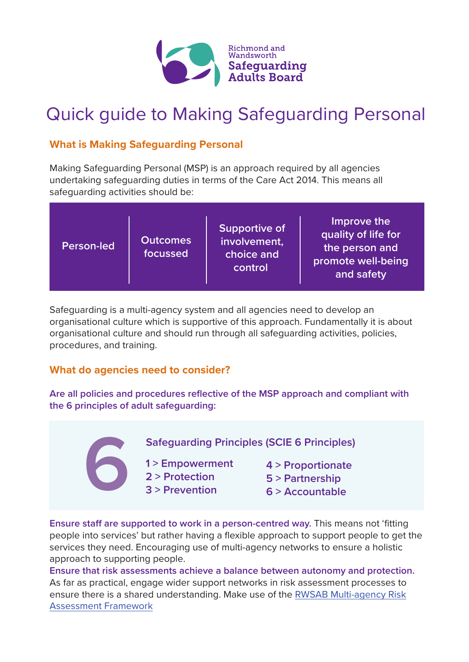

## Quick guide to Making Safeguarding Personal

### **What is Making Safeguarding Personal**

Making Safeguarding Personal (MSP) is an approach required by all agencies undertaking safeguarding duties in terms of the Care Act 2014. This means all safeguarding activities should be:

| <b>Outcomes</b><br><b>Person-led</b><br>focussed | <b>Supportive of</b><br>involvement,<br>choice and<br>control | Improve the<br>quality of life for<br>the person and<br>promote well-being<br>and safety |
|--------------------------------------------------|---------------------------------------------------------------|------------------------------------------------------------------------------------------|
|--------------------------------------------------|---------------------------------------------------------------|------------------------------------------------------------------------------------------|

Safeguarding is a multi-agency system and all agencies need to develop an organisational culture which is supportive of this approach. Fundamentally it is about organisational culture and should run through all safeguarding activities, policies, procedures, and training.

### **What do agencies need to consider?**

**Are all policies and procedures reflective of the MSP approach and compliant with the 6 principles of adult safeguarding:**

**Safeguarding Principles (SCIE 6 Principles) 6**

**1 > Empowerment 2 > Protection**

- **4 > Proportionate**
- 
- **3 > Prevention**
- **5 > Partnership**
- **6 > Accountable**

**Ensure staff are supported to work in a person-centred way.** This means not 'fitting people into services' but rather having a flexible approach to support people to get the services they need. Encouraging use of multi-agency networks to ensure a holistic approach to supporting people.

**Ensure that risk assessments achieve a balance between autonomy and protection.** As far as practical, engage wider support networks in risk assessment processes to [ensure there is a shared understanding. Make use of the RWSAB Multi-agency Risk](https://www.sabrichmondandwandsworth.org.uk/media/1355/multi_agency_risk_assessment_framework.pdf)  Assessment Framework